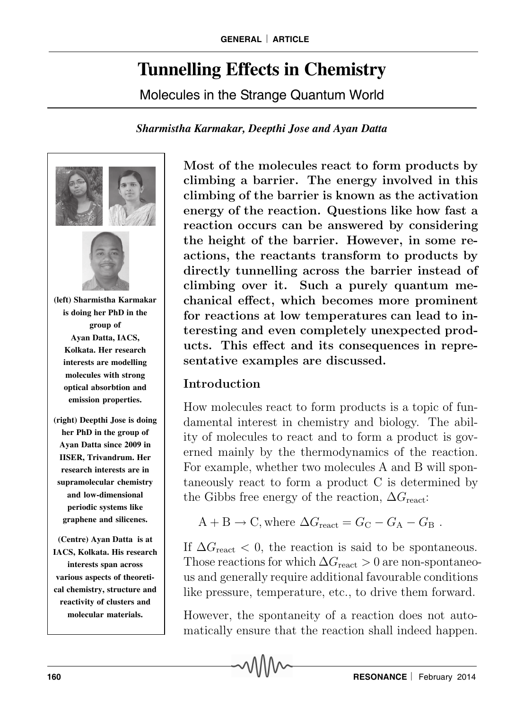# **Tunnelling Effects in Chemistry**

Molecules in the Strange Quantum World

#### *Sharmistha Karmakar, Deepthi Jose and Ayan Datta*



Most of the molecules react to form products by climbing a barrier. The energy involved in this climbing of the barrier is known as the activation energy of the reaction. Questions like how fast a reaction occurs can be answered by considering the height of the barrier. However, in some reactions, the reactants transform to products by directly tunnelling across the barrier instead of climbing over it. Such a purely quantum mechanical effect, which becomes more prominent for reactions at low temperatures can lead to interesting and even completely unexpected products. This effect and its consequences in representative examples are discussed.

# Introduction

How molecules react to form products is a topic of fundamental interest in chemistry and biology. The ability of molecules to react and to form a product is governed mainly by the thermodynamics of the reaction. For example, whether two molecules A and B will spontaneously react to form a product C is determined by the Gibbs free energy of the reaction,  $\Delta G_{\text{react}}$ :

$$
A + B \rightarrow C
$$
, where  $\Delta G_{\text{react}} = G_{\text{C}} - G_{\text{A}} - G_{\text{B}}$ .

If  $\Delta G_{\text{react}} < 0$ , the reaction is said to be spontaneous. Those reactions for which  $\Delta G_{\text{react}} > 0$  are non-spontaneous and generally require additional favourable conditions like pressure, temperature, etc., to drive them forward.

However, the spontaneity of a reaction does not automatically ensure that the reaction shall indeed happen.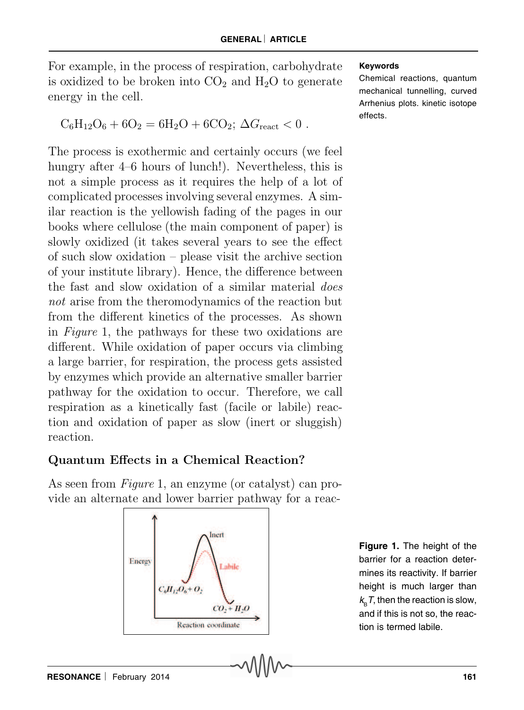For example, in the process of respiration, carbohydrate is oxidized to be broken into  $CO<sub>2</sub>$  and  $H<sub>2</sub>O$  to generate energy in the cell.

$$
C_6H_{12}O_6 + 6O_2 = 6H_2O + 6CO_2; \Delta G_{\text{react}} < 0.
$$

The process is exothermic and certainly occurs (we feel hungry after 4–6 hours of lunch!). Nevertheless, this is not a simple process as it requires the help of a lot of complicated processes involving several enzymes. A similar reaction is the yellowish fading of the pages in our books where cellulose (the main component of paper) is slowly oxidized (it takes several years to see the effect of such slow oxidation – please visit the archive section of your institute library). Hence, the difference between the fast and slow oxidation of a similar material does not arise from the theromodynamics of the reaction but from the different kinetics of the processes. As shown in Figure 1, the pathways for these two oxidations are different. While oxidation of paper occurs via climbing a large barrier, for respiration, the process gets assisted by enzymes which provide an alternative smaller barrier pathway for the oxidation to occur. Therefore, we call respiration as a kinetically fast (facile or labile) reaction and oxidation of paper as slow (inert or sluggish) reaction.

## Quantum Effects in a Chemical Reaction?

As seen from *Figure* 1, an enzyme (or catalyst) can provide an alternate and lower barrier pathway for a reac-



**Figure 1.** The height of the barrier for a reaction determines its reactivity. If barrier height is much larger than  $k_{\rm B}^{}$ T, then the reaction is slow, and if this is not so, the reaction is termed labile.

Chemical reactions, quantum mechanical tunnelling, curved Arrhenius plots. kinetic isotope effects.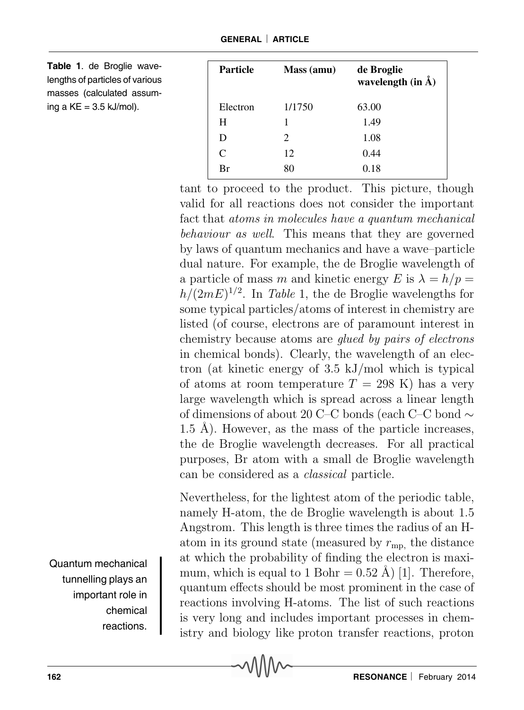**Table 1**. de Broglie wavelengths of particles of various masses (calculated assuming a  $KE = 3.5$  kJ/mol).

| <b>Particle</b> | Mass (amu) | de Broglie<br>wavelength $(in \mathbf{A})$ |
|-----------------|------------|--------------------------------------------|
| Electron        | 1/1750     | 63.00                                      |
| H               |            | 1.49                                       |
| D               | 2          | 1.08                                       |
| $\mathcal{C}$   | 12         | 0.44                                       |
| Br              | 80         | 0.18                                       |

tant to proceed to the product. This picture, though valid for all reactions does not consider the important fact that atoms in molecules have a quantum mechanical behaviour as well. This means that they are governed by laws of quantum mechanics and have a wave–particle dual nature. For example, the de Broglie wavelength of a particle of mass m and kinetic energy E is  $\lambda = h/p =$  $h/(2mE)^{1/2}$ . In Table 1, the de Broglie wavelengths for some typical particles/atoms of interest in chemistry are listed (of course, electrons are of paramount interest in chemistry because atoms are glued by pairs of electrons in chemical bonds). Clearly, the wavelength of an electron (at kinetic energy of 3.5 kJ/mol which is typical of atoms at room temperature  $T = 298$  K) has a very large wavelength which is spread across a linear length of dimensions of about 20 C–C bonds (each C–C bond ∼ 1.5 Å). However, as the mass of the particle increases, the de Broglie wavelength decreases. For all practical purposes, Br atom with a small de Broglie wavelength can be considered as a classical particle.

Nevertheless, for the lightest atom of the periodic table, namely H-atom, the de Broglie wavelength is about 1.5 Angstrom. This length is three times the radius of an Hatom in its ground state (measured by  $r_{mn}$ , the distance at which the probability of finding the electron is maximum, which is equal to 1 Bohr =  $0.52 \text{ Å}$  [1]. Therefore, quantum effects should be most prominent in the case of reactions involving H-atoms. The list of such reactions is very long and includes important processes in chemistry and biology like proton transfer reactions, proton

Quantum mechanical tunnelling plays an important role in chemical reactions.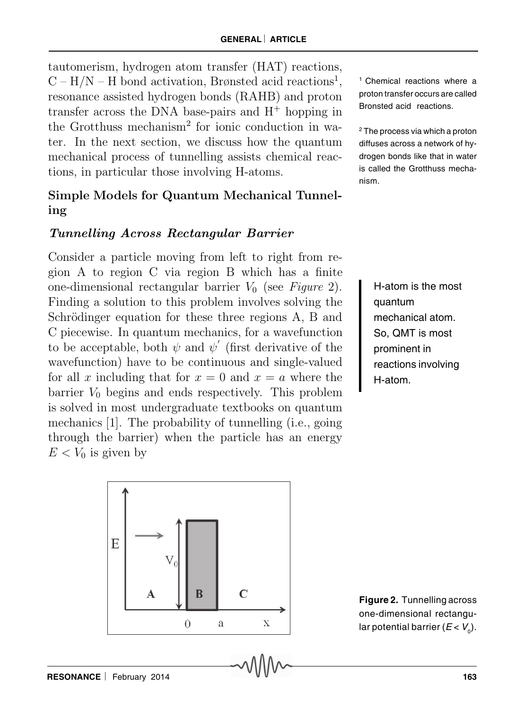tautomerism, hydrogen atom transfer (HAT) reactions,  $C-H/N-H$  bond activation, Brønsted acid reactions<sup>1</sup>, resonance assisted hydrogen bonds (RAHB) and proton transfer across the DNA base-pairs and  $H^+$  hopping in the Grotthuss mechanism<sup>2</sup> for ionic conduction in water. In the next section, we discuss how the quantum mechanical process of tunnelling assists chemical reactions, in particular those involving H-atoms.

## Simple Models for Quantum Mechanical Tunneling

#### Tunnelling Across Rectangular Barrier

Consider a particle moving from left to right from region A to region C via region B which has a finite one-dimensional rectangular barrier  $V_0$  (see Figure 2). Finding a solution to this problem involves solving the Schrödinger equation for these three regions A, B and C piecewise. In quantum mechanics, for a wavefunction to be acceptable, both  $\psi$  and  $\psi'$  (first derivative of the wavefunction) have to be continuous and single-valued for all x including that for  $x = 0$  and  $x = a$  where the barrier  $V_0$  begins and ends respectively. This problem is solved in most undergraduate textbooks on quantum mechanics [1]. The probability of tunnelling (i.e., going through the barrier) when the particle has an energy  $E < V_0$  is given by

<sup>1</sup> Chemical reactions where a proton transfer occurs are called Bronsted acid reactions.

2 The process via which a proton diffuses across a network of hydrogen bonds like that in water is called the Grotthuss mechanism.

> H-atom is the most quantum mechanical atom. So, QMT is most prominent in reactions involving H-atom.



**Figure 2.** Tunnelling across one-dimensional rectangular potential barrier ( $E < V_0$ ).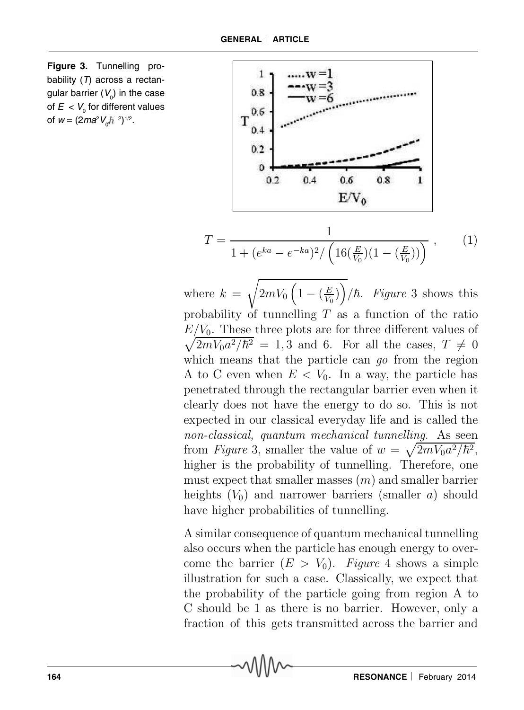



where  $k =$  $\sqrt{ }$  $2mV_0\left(1-(\frac{E}{V_0})\right)$  $\frac{E}{V_0}\big)\bigg/\hbar$ . Figure 3 shows this probability of tunnelling  $T$  as a function of the ratio  $E/V_0$ . These three plots are for three different values of  $\sqrt{2mV_0a^2/\hbar^2} = 1, 3$  and 6. For all the cases,  $T \neq 0$ which means that the particle can go from the region A to C even when  $E < V_0$ . In a way, the particle has penetrated through the rectangular barrier even when it clearly does not have the energy to do so. This is not expected in our classical everyday life and is called the non-classical, quantum mechanical tunnelling. As seen from *Figure* 3, smaller the value of  $w = \sqrt{2mV_0a^2/\hbar^2}$ , higher is the probability of tunnelling. Therefore, one must expect that smaller masses  $(m)$  and smaller barrier heights  $(V_0)$  and narrower barriers (smaller a) should have higher probabilities of tunnelling.

A similar consequence of quantum mechanical tunnelling also occurs when the particle has enough energy to overcome the barrier  $(E > V_0)$ . Figure 4 shows a simple illustration for such a case. Classically, we expect that the probability of the particle going from region A to C should be 1 as there is no barrier. However, only a fraction of this gets transmitted across the barrier and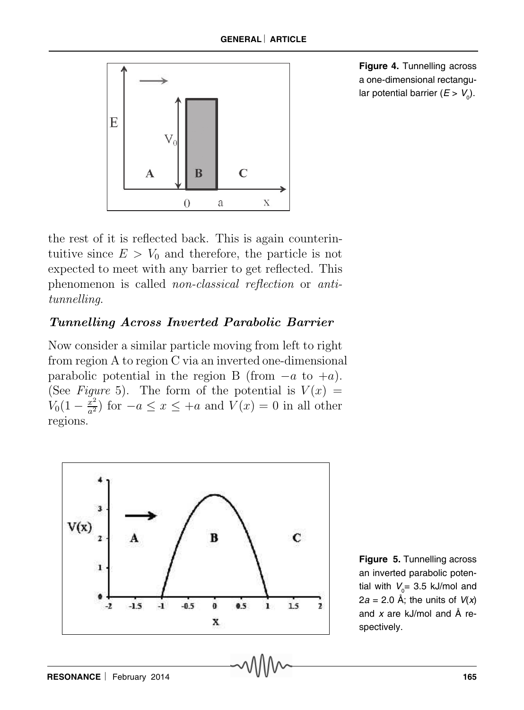

**Figure 4.** Tunnelling across a one-dimensional rectangular potential barrier ( $E > V_0$ ).

the rest of it is reflected back. This is again counterintuitive since  $E > V_0$  and therefore, the particle is not expected to meet with any barrier to get reflected. This phenomenon is called non-classical reflection or antitunnelling.

## Tunnelling Across Inverted Parabolic Barrier

Now consider a similar particle moving from left to right from region A to region C via an inverted one-dimensional parabolic potential in the region B (from  $-a$  to  $+a$ ). (See Figure 5). The form of the potential is  $V(x) =$  $V_0(1-\frac{x^2}{a^2})$  for  $-a \le x \le +a$  and  $V(x) = 0$  in all other regions.



**Figure 5.** Tunnelling across an inverted parabolic potential with  $V_{\rm o}$ = 3.5 kJ/mol and 2a = 2.0 Å; the units of  $V(x)$ and  $x$  are kJ/mol and  $\AA$  respectively.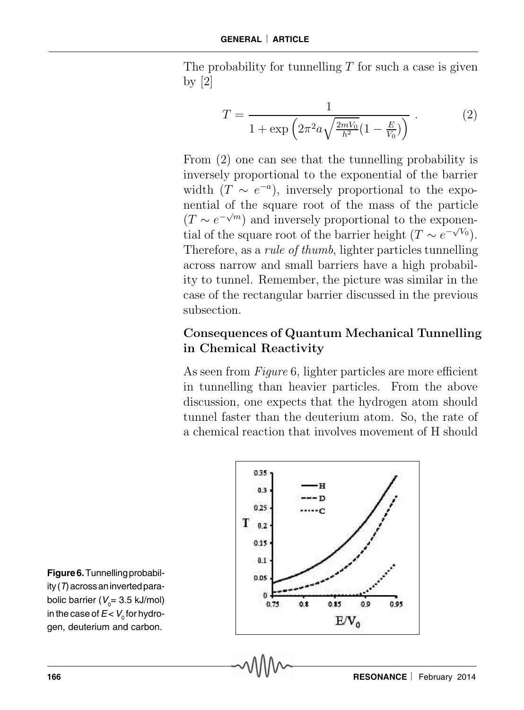The probability for tunnelling  $T$  for such a case is given by [2]

$$
T = \frac{1}{1 + \exp\left(2\pi^2 a \sqrt{\frac{2mV_0}{h^2} (1 - \frac{E}{V_0})}\right)}.
$$
 (2)

From (2) one can see that the tunnelling probability is inversely proportional to the exponential of the barrier width  $(T \sim e^{-a})$ , inversely proportional to the exponential of the square root of the mass of the particle  $(T \sim e^{-\sqrt{m}})$  and inversely proportional to the exponential of the square root of the barrier height  $(T \sim e^{-\sqrt{V_0}})$ . Therefore, as a rule of thumb, lighter particles tunnelling across narrow and small barriers have a high probability to tunnel. Remember, the picture was similar in the case of the rectangular barrier discussed in the previous subsection.

### Consequences of Quantum Mechanical Tunnelling in Chemical Reactivity

As seen from *Figure* 6, lighter particles are more efficient in tunnelling than heavier particles. From the above discussion, one expects that the hydrogen atom should tunnel faster than the deuterium atom. So, the rate of a chemical reaction that involves movement of H should



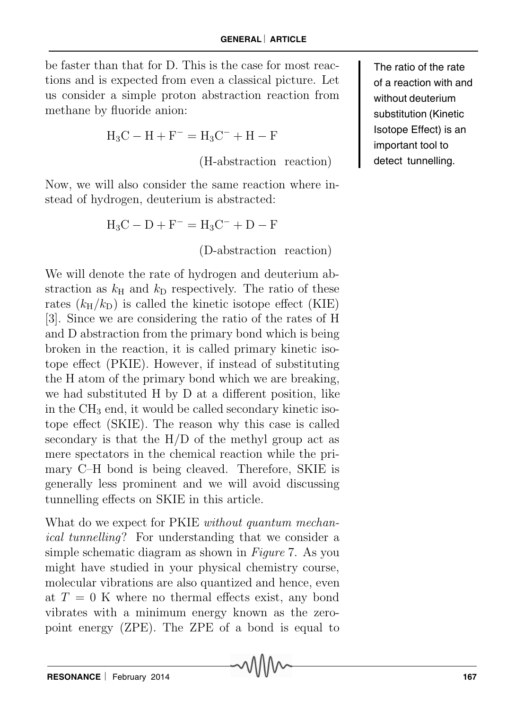be faster than that for D. This is the case for most reactions and is expected from even a classical picture. Let us consider a simple proton abstraction reaction from methane by fluoride anion:

$$
H_3C - H + F^- = H_3C^- + H - F
$$

(H-abstraction reaction)

Now, we will also consider the same reaction where instead of hydrogen, deuterium is abstracted:

$$
H_3C - D + F^- = H_3C^- + D - F
$$

(D-abstraction reaction)

We will denote the rate of hydrogen and deuterium abstraction as  $k<sub>H</sub>$  and  $k<sub>D</sub>$  respectively. The ratio of these rates  $(k_H/k_D)$  is called the kinetic isotope effect (KIE) [3]. Since we are considering the ratio of the rates of H and D abstraction from the primary bond which is being broken in the reaction, it is called primary kinetic isotope effect (PKIE). However, if instead of substituting the H atom of the primary bond which we are breaking, we had substituted H by D at a different position, like in the  $CH<sub>3</sub>$  end, it would be called secondary kinetic isotope effect (SKIE). The reason why this case is called secondary is that the H/D of the methyl group act as mere spectators in the chemical reaction while the primary C–H bond is being cleaved. Therefore, SKIE is generally less prominent and we will avoid discussing tunnelling effects on SKIE in this article.

What do we expect for PKIE *without quantum mechan*ical tunnelling? For understanding that we consider a simple schematic diagram as shown in Figure 7. As you might have studied in your physical chemistry course, molecular vibrations are also quantized and hence, even at  $T = 0$  K where no thermal effects exist, any bond vibrates with a minimum energy known as the zeropoint energy (ZPE). The ZPE of a bond is equal to

The ratio of the rate of a reaction with and without deuterium substitution (Kinetic Isotope Effect) is an important tool to detect tunnelling.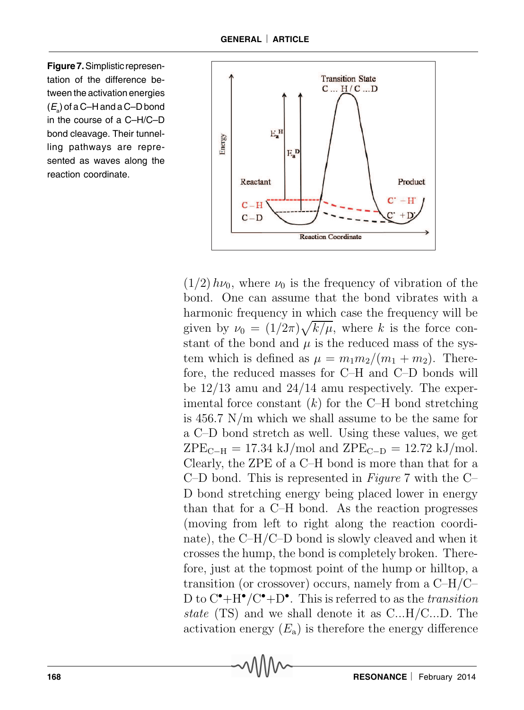**Figure 7.** Simplistic representation of the difference between the activation energies  $(E_{\rm a})$  of a C–H and a C–D bond in the course of a C–H/C–D bond cleavage. Their tunnelling pathways are represented as waves along the reaction coordinate.



 $(1/2)$   $h\nu_0$ , where  $\nu_0$  is the frequency of vibration of the bond. One can assume that the bond vibrates with a harmonic frequency in which case the frequency will be given by  $\nu_0 = (1/2\pi)\sqrt{k/\mu}$ , where k is the force constant of the bond and  $\mu$  is the reduced mass of the system which is defined as  $\mu = m_1 m_2/(m_1 + m_2)$ . Therefore, the reduced masses for C–H and C–D bonds will be 12/13 amu and 24/14 amu respectively. The experimental force constant  $(k)$  for the C–H bond stretching is 456.7 N/m which we shall assume to be the same for a C–D bond stretch as well. Using these values, we get  $ZPE_{C-H} = 17.34 \text{ kJ/mol}$  and  $ZPE_{C-D} = 12.72 \text{ kJ/mol}$ . Clearly, the ZPE of a C–H bond is more than that for a C–D bond. This is represented in Figure 7 with the C– D bond stretching energy being placed lower in energy than that for a C–H bond. As the reaction progresses (moving from left to right along the reaction coordinate), the C–H/C–D bond is slowly cleaved and when it crosses the hump, the bond is completely broken. Therefore, just at the topmost point of the hump or hilltop, a transition (or crossover) occurs, namely from a C–H/C– D to  $C^{\bullet}$ +H<sup> $\bullet$ </sup>/C<sup> $\bullet$ </sup>+D<sup> $\bullet$ </sup>. This is referred to as the *transition* state (TS) and we shall denote it as C...H/C...D. The activation energy  $(E_a)$  is therefore the energy difference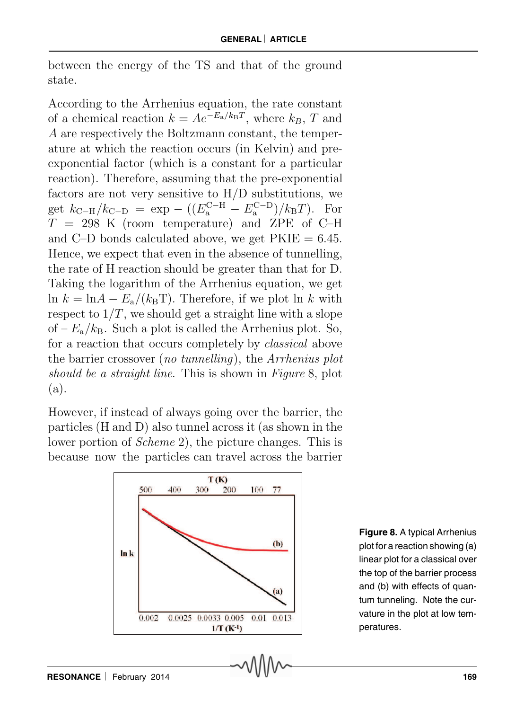between the energy of the TS and that of the ground state.

According to the Arrhenius equation, the rate constant of a chemical reaction  $k = Ae^{-E_a/k_B T}$ , where  $k_B$ , T and A are respectively the Boltzmann constant, the temperature at which the reaction occurs (in Kelvin) and preexponential factor (which is a constant for a particular reaction). Therefore, assuming that the pre-exponential factors are not very sensitive to H/D substitutions, we get  $k_{\text{C-H}}/k_{\text{C-D}} = \exp - ((E_a^{\text{C-H}} - E_a^{\text{C-D}})/k_B T).$  For  $T = 298$  K (room temperature) and ZPE of C–H and C–D bonds calculated above, we get  $PKIE = 6.45$ . Hence, we expect that even in the absence of tunnelling, the rate of H reaction should be greater than that for D. Taking the logarithm of the Arrhenius equation, we get ln  $k = \ln A - E_a/(k_B T)$ . Therefore, if we plot  $\ln k$  with respect to  $1/T$ , we should get a straight line with a slope of  $-E_a/k_B$ . Such a plot is called the Arrhenius plot. So, for a reaction that occurs completely by classical above the barrier crossover (no tunnelling), the Arrhenius plot should be a straight line. This is shown in Figure 8, plot (a).

However, if instead of always going over the barrier, the particles (H and D) also tunnel across it (as shown in the lower portion of Scheme 2), the picture changes. This is because now the particles can travel across the barrier



**Figure 8.** A typical Arrhenius plot for a reaction showing (a) linear plot for a classical over the top of the barrier process and (b) with effects of quantum tunneling. Note the curvature in the plot at low temperatures.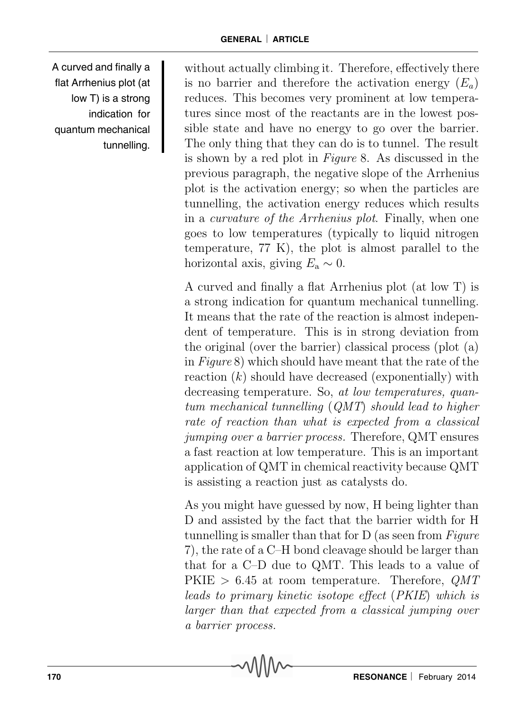A curved and finally a flat Arrhenius plot (at low T) is a strong indication for quantum mechanical tunnelling.

without actually climbing it. Therefore, effectively there is no barrier and therefore the activation energy  $(E_a)$ reduces. This becomes very prominent at low temperatures since most of the reactants are in the lowest possible state and have no energy to go over the barrier. The only thing that they can do is to tunnel. The result is shown by a red plot in Figure 8. As discussed in the previous paragraph, the negative slope of the Arrhenius plot is the activation energy; so when the particles are tunnelling, the activation energy reduces which results in a curvature of the Arrhenius plot. Finally, when one goes to low temperatures (typically to liquid nitrogen temperature, 77 K), the plot is almost parallel to the horizontal axis, giving  $E_a \sim 0$ .

A curved and finally a flat Arrhenius plot (at low T) is a strong indication for quantum mechanical tunnelling. It means that the rate of the reaction is almost independent of temperature. This is in strong deviation from the original (over the barrier) classical process (plot (a) in Figure 8) which should have meant that the rate of the reaction  $(k)$  should have decreased (exponentially) with decreasing temperature. So, at low temperatures, quantum mechanical tunnelling (QMT) should lead to higher rate of reaction than what is expected from a classical jumping over a barrier process. Therefore, QMT ensures a fast reaction at low temperature. This is an important application of QMT in chemical reactivity because QMT is assisting a reaction just as catalysts do.

As you might have guessed by now, H being lighter than D and assisted by the fact that the barrier width for H tunnelling is smaller than that for D (as seen from Figure 7), the rate of a C–H bond cleavage should be larger than that for a C–D due to QMT. This leads to a value of PKIE  $> 6.45$  at room temperature. Therefore, QMT leads to primary kinetic isotope effect (PKIE) which is larger than that expected from a classical jumping over a barrier process.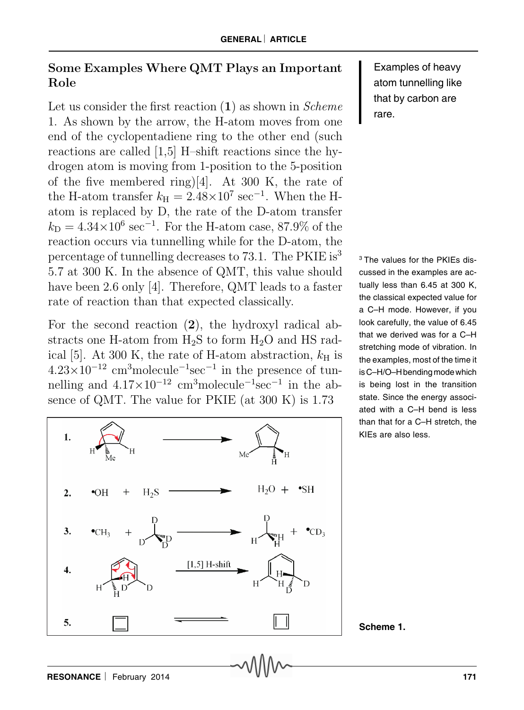## Some Examples Where QMT Plays an Important Role

Let us consider the first reaction  $(1)$  as shown in *Scheme* 1. As shown by the arrow, the H-atom moves from one end of the cyclopentadiene ring to the other end (such reactions are called [1,5] H–shift reactions since the hydrogen atom is moving from 1-position to the 5-position of the five membered ring)[4]. At 300 K, the rate of the H-atom transfer  $k_{\text{H}} = 2.48 \times 10^7 \text{ sec}^{-1}$ . When the Hatom is replaced by D, the rate of the D-atom transfer  $k_D = 4.34 \times 10^6 \text{ sec}^{-1}$ . For the H-atom case, 87.9% of the reaction occurs via tunnelling while for the D-atom, the percentage of tunnelling decreases to 73.1. The PKIE is<sup>3</sup> 5.7 at 300 K. In the absence of QMT, this value should have been 2.6 only [4]. Therefore, QMT leads to a faster rate of reaction than that expected classically.

For the second reaction (2), the hydroxyl radical abstracts one H-atom from H2S to form H2O and HS radical [5]. At 300 K, the rate of H-atom abstraction,  $k_{\rm H}$  is  $4.23 \times 10^{-12}$  cm<sup>3</sup>molecule<sup>-1</sup>sec<sup>-1</sup> in the presence of tunnelling and  $4.17 \times 10^{-12}$  cm<sup>3</sup>molecule<sup>-1</sup>sec<sup>-1</sup> in the absence of QMT. The value for PKIE (at 300 K) is 1.73



Examples of heavy atom tunnelling like that by carbon are rare.

3 The values for the PKIEs discussed in the examples are actually less than 6.45 at 300 K, the classical expected value for a C–H mode. However, if you look carefully, the value of 6.45 that we derived was for a C–H stretching mode of vibration. In the examples, most of the time it is C–H/O–H bending mode which is being lost in the transition state. Since the energy associated with a C–H bend is less than that for a C–H stretch, the KIEs are also less.

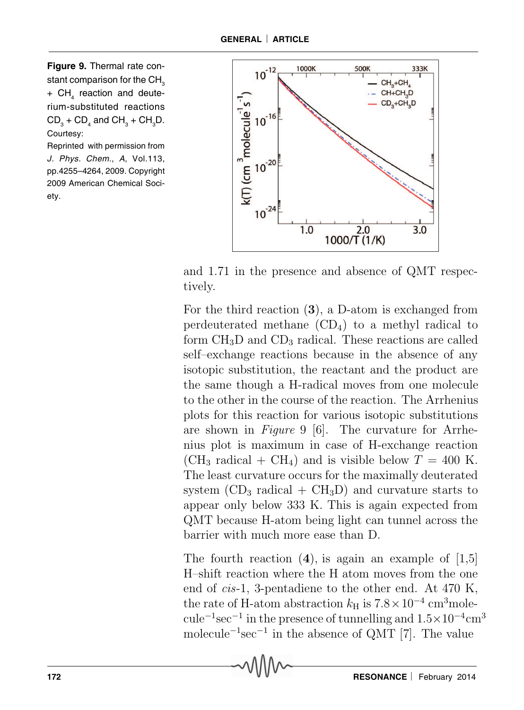**Figure 9.** Thermal rate constant comparison for the CH<sub>3</sub> +  $\textsf{CH}_4^{}$  reaction and deuterium-substituted reactions  $CD_3$  +  $CD_4$  and  $CH_3$  +  $CH_3D$ . Courtesy:

Reprinted with permission from J. Phys. Chem., A, Vol.113, pp.4255–4264, 2009. Copyright 2009 American Chemical Society.



and 1.71 in the presence and absence of QMT respectively.

For the third reaction (3), a D-atom is exchanged from perdeuterated methane  $(CD_4)$  to a methyl radical to form  $CH<sub>3</sub>D$  and  $CD<sub>3</sub>$  radical. These reactions are called self–exchange reactions because in the absence of any isotopic substitution, the reactant and the product are the same though a H-radical moves from one molecule to the other in the course of the reaction. The Arrhenius plots for this reaction for various isotopic substitutions are shown in Figure 9 [6]. The curvature for Arrhenius plot is maximum in case of H-exchange reaction  $(CH_3 \text{ radical} + CH_4)$  and is visible below  $T = 400 \text{ K}$ . The least curvature occurs for the maximally deuterated system  $(CD_3 \text{ radical} + CH_3D)$  and curvature starts to appear only below 333 K. This is again expected from QMT because H-atom being light can tunnel across the barrier with much more ease than D.

The fourth reaction  $(4)$ , is again an example of  $[1,5]$ H–shift reaction where the H atom moves from the one end of cis-1, 3-pentadiene to the other end. At 470 K, the rate of H-atom abstraction  $k_H$  is  $7.8 \times 10^{-4}$  cm<sup>3</sup>molecule<sup>-1</sup>sec<sup>-1</sup> in the presence of tunnelling and  $1.5 \times 10^{-4}$ cm<sup>3</sup> molecule<sup>-1</sup>sec<sup>-1</sup> in the absence of QMT [7]. The value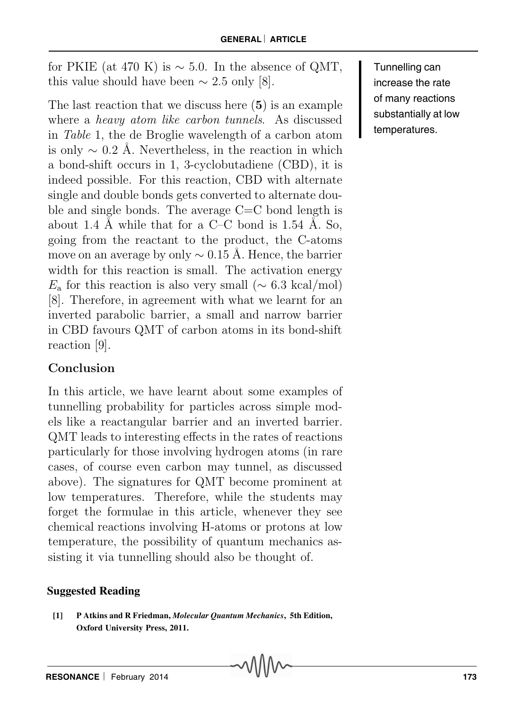for PKIE (at 470 K) is  $\sim$  5.0. In the absence of QMT, this value should have been  $\sim 2.5$  only [8].

The last reaction that we discuss here (5) is an example where a heavy atom like carbon tunnels. As discussed in Table 1, the de Broglie wavelength of a carbon atom is only  $\sim$  0.2 Å. Nevertheless, in the reaction in which a bond-shift occurs in 1, 3-cyclobutadiene (CBD), it is indeed possible. For this reaction, CBD with alternate single and double bonds gets converted to alternate double and single bonds. The average  $C=C$  bond length is about 1.4 Å while that for a  $C-C$  bond is 1.54 Å. So, going from the reactant to the product, the C-atoms move on an average by only  $\sim 0.15$  Å. Hence, the barrier width for this reaction is small. The activation energy  $E_a$  for this reaction is also very small ( $\sim 6.3 \text{ kcal/mol}$ ) [8]. Therefore, in agreement with what we learnt for an inverted parabolic barrier, a small and narrow barrier in CBD favours QMT of carbon atoms in its bond-shift reaction [9].

# Conclusion

In this article, we have learnt about some examples of tunnelling probability for particles across simple models like a reactangular barrier and an inverted barrier. QMT leads to interesting effects in the rates of reactions particularly for those involving hydrogen atoms (in rare cases, of course even carbon may tunnel, as discussed above). The signatures for QMT become prominent at low temperatures. Therefore, while the students may forget the formulae in this article, whenever they see chemical reactions involving H-atoms or protons at low temperature, the possibility of quantum mechanics assisting it via tunnelling should also be thought of.

#### **Suggested Reading**

**[1] P Atkins and R Friedman,** *Molecular Quantum Mechanics***, 5th Edition, Oxford University Press, 2011.**

Tunnelling can increase the rate of many reactions substantially at low temperatures.